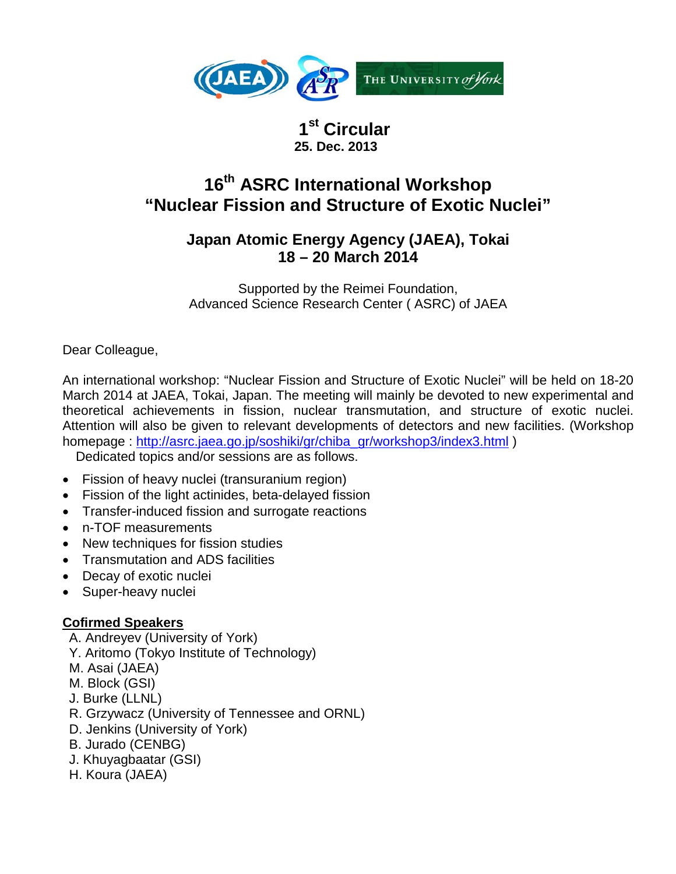

 **1st Circular 25. Dec. 2013**

# **16th ASRC International Workshop "Nuclear Fission and Structure of Exotic Nuclei"**

## **Japan Atomic Energy Agency (JAEA), Tokai 18 – 20 March 2014**

Supported by the Reimei Foundation, Advanced Science Research Center ( ASRC) of JAEA

Dear Colleague,

An international workshop: "Nuclear Fission and Structure of Exotic Nuclei" will be held on 18-20 March 2014 at JAEA, Tokai, Japan. The meeting will mainly be devoted to new experimental and theoretical achievements in fission, nuclear transmutation, and structure of exotic nuclei. Attention will also be given to relevant developments of detectors and new facilities. (Workshop homepage : [http://asrc.jaea.go.jp/soshiki/gr/chiba\\_gr/workshop3/index3.html](http://asrc.jaea.go.jp/soshiki/gr/chiba_gr/workshop3/index3.html) )

Dedicated topics and/or sessions are as follows.

- Fission of heavy nuclei (transuranium region)
- Fission of the light actinides, beta-delayed fission
- Transfer-induced fission and surrogate reactions
- n-TOF measurements
- New techniques for fission studies
- Transmutation and ADS facilities
- Decay of exotic nuclei
- Super-heavy nuclei

### **Cofirmed Speakers**

- A. Andreyev (University of York)
- Y. Aritomo (Tokyo Institute of Technology)
- M. Asai (JAEA)
- M. Block (GSI)
- J. Burke (LLNL)
- R. Grzywacz (University of Tennessee and ORNL)
- D. Jenkins (University of York)
- B. Jurado (CENBG)
- J. Khuyagbaatar (GSI)
- H. Koura (JAEA)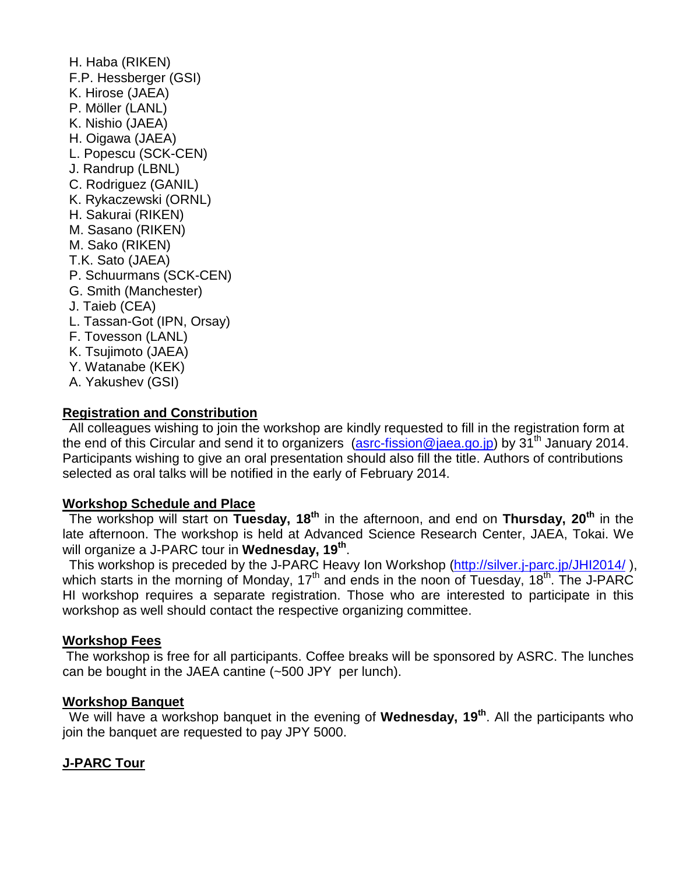H. Haba (RIKEN) F.P. Hessberger (GSI) K. Hirose (JAEA) P. Möller (LANL) K. Nishio (JAEA) H. Oigawa (JAEA) L. Popescu (SCK-CEN) J. Randrup (LBNL) C. Rodriguez (GANIL) K. Rykaczewski (ORNL) H. Sakurai (RIKEN) M. Sasano (RIKEN) M. Sako (RIKEN) T.K. Sato (JAEA) P. Schuurmans (SCK-CEN) G. Smith (Manchester) J. Taieb (CEA) L. Tassan-Got (IPN, Orsay) F. Tovesson (LANL) K. Tsujimoto (JAEA) Y. Watanabe (KEK) A. Yakushev (GSI)

#### **Registration and Constribution**

All colleagues wishing to join the workshop are kindly requested to fill in the registration form at the end of this Circular and send it to organizers  $(asrc-fission@jaea.qo.jp)$  by 31<sup>th</sup> January 2014. Participants wishing to give an oral presentation should also fill the title. Authors of contributions selected as oral talks will be notified in the early of February 2014.

#### **Workshop Schedule and Place**

The workshop will start on **Tuesday, 18th** in the afternoon, and end on **Thursday, 20th** in the late afternoon. The workshop is held at Advanced Science Research Center, JAEA, Tokai. We will organize a J-PARC tour in **Wednesday, 19th**.

This workshop is preceded by the J-PARC Heavy Ion Workshop [\(http://silver.j-parc.jp/JHI2014/](http://silver.j-parc.jp/JHI2014/)), which starts in the morning of Monday,  $17<sup>th</sup>$  and ends in the noon of Tuesday,  $18<sup>th</sup>$ . The J-PARC HI workshop requires a separate registration. Those who are interested to participate in this workshop as well should contact the respective organizing committee.

#### **Workshop Fees**

The workshop is free for all participants. Coffee breaks will be sponsored by ASRC. The lunches can be bought in the JAEA cantine (~500 JPY per lunch).

#### **Workshop Banquet**

We will have a workshop banquet in the evening of **Wednesday, 19th**. All the participants who join the banquet are requested to pay JPY 5000.

#### **J-PARC Tour**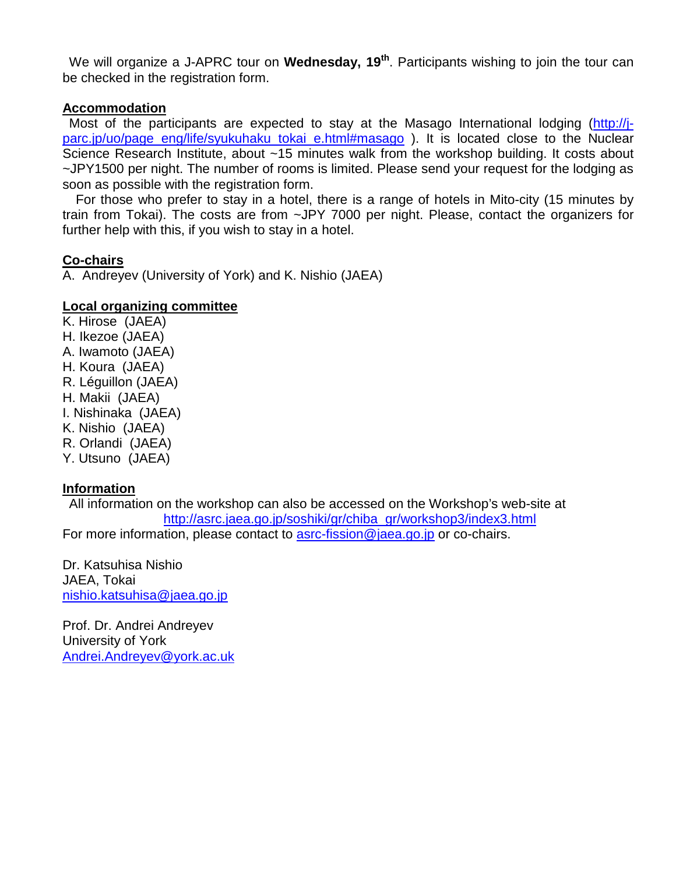We will organize a J-APRC tour on **Wednesday, 19th**. Participants wishing to join the tour can be checked in the registration form.

#### **Accommodation**

Most of the participants are expected to stay at the Masago International lodging [\(http://j](http://j-parc.jp/uo/page_eng/life/syukuhaku_tokai_e.html#masago)[parc.jp/uo/page\\_eng/life/syukuhaku\\_tokai\\_e.html#masago](http://j-parc.jp/uo/page_eng/life/syukuhaku_tokai_e.html#masago) ). It is located close to the Nuclear Science Research Institute, about ~15 minutes walk from the workshop building. It costs about ~JPY1500 per night. The number of rooms is limited. Please send your request for the lodging as soon as possible with the registration form.

For those who prefer to stay in a hotel, there is a range of hotels in Mito-city (15 minutes by train from Tokai). The costs are from ~JPY 7000 per night. Please, contact the organizers for further help with this, if you wish to stay in a hotel.

#### **Co-chairs**

A. Andreyev (University of York) and K. Nishio (JAEA)

#### **Local organizing committee**

K. Hirose (JAEA) H. Ikezoe (JAEA) A. Iwamoto (JAEA) H. Koura (JAEA) R. Léguillon (JAEA) H. Makii (JAEA) I. Nishinaka (JAEA) K. Nishio (JAEA) R. Orlandi (JAEA) Y. Utsuno (JAEA)

#### **Information**

All information on the workshop can also be accessed on the Workshop's web-site at [http://asrc.jaea.go.jp/soshiki/gr/chiba\\_gr/workshop3/index3.html](http://asrc.jaea.go.jp/soshiki/gr/chiba_gr/workshop3/index3.html) For more information, please contact to [asrc-fission@jaea.go.jp](mailto:asrc-fission@jaea.go.jp) or co-chairs.

Dr. Katsuhisa Nishio JAEA, Tokai [nishio.katsuhisa@jaea.go.jp](mailto:nishio.katsuhisa@jaea.go.jp)

Prof. Dr. Andrei Andreyev University of York [Andrei.Andreyev@york.ac.uk](mailto:Andrei.Andreyev@york.ac.uk)